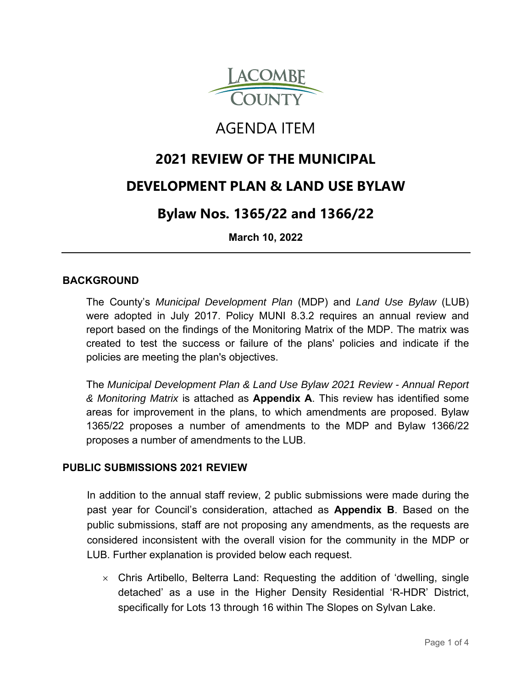

# AGENDA ITEM

# **2021 REVIEW OF THE MUNICIPAL**

# **DEVELOPMENT PLAN & LAND USE BYLAW**

# **Bylaw Nos. 1365/22 and 1366/22**

**March 10, 2022**

## **BACKGROUND**

The County's *Municipal Development Plan* (MDP) and *Land Use Bylaw* (LUB) were adopted in July 2017. Policy MUNI 8.3.2 requires an annual review and report based on the findings of the Monitoring Matrix of the MDP. The matrix was created to test the success or failure of the plans' policies and indicate if the policies are meeting the plan's objectives.

The *Municipal Development Plan & Land Use Bylaw 2021 Review - Annual Report & Monitoring Matrix* is attached as **Appendix A**. This review has identified some areas for improvement in the plans, to which amendments are proposed. Bylaw 1365/22 proposes a number of amendments to the MDP and Bylaw 1366/22 proposes a number of amendments to the LUB.

#### **PUBLIC SUBMISSIONS 2021 REVIEW**

In addition to the annual staff review, 2 public submissions were made during the past year for Council's consideration, attached as **Appendix B**. Based on the public submissions, staff are not proposing any amendments, as the requests are considered inconsistent with the overall vision for the community in the MDP or LUB. Further explanation is provided below each request.

 $\times$  Chris Artibello, Belterra Land: Requesting the addition of 'dwelling, single detached' as a use in the Higher Density Residential 'R-HDR' District, specifically for Lots 13 through 16 within The Slopes on Sylvan Lake.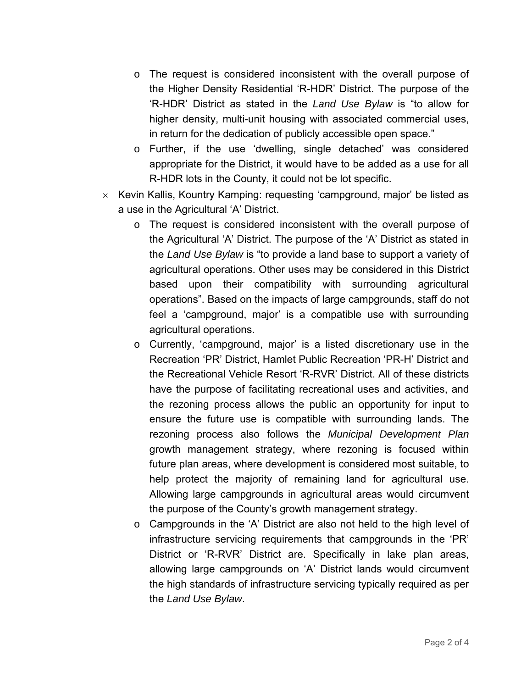- o The request is considered inconsistent with the overall purpose of the Higher Density Residential 'R-HDR' District. The purpose of the 'R-HDR' District as stated in the *Land Use Bylaw* is "to allow for higher density, multi-unit housing with associated commercial uses, in return for the dedication of publicly accessible open space."
- o Further, if the use 'dwelling, single detached' was considered appropriate for the District, it would have to be added as a use for all R-HDR lots in the County, it could not be lot specific.
- $\times$  Kevin Kallis, Kountry Kamping: requesting 'campground, major' be listed as a use in the Agricultural 'A' District.
	- o The request is considered inconsistent with the overall purpose of the Agricultural 'A' District. The purpose of the 'A' District as stated in the *Land Use Bylaw* is "to provide a land base to support a variety of agricultural operations. Other uses may be considered in this District based upon their compatibility with surrounding agricultural operations". Based on the impacts of large campgrounds, staff do not feel a 'campground, major' is a compatible use with surrounding agricultural operations.
	- o Currently, 'campground, major' is a listed discretionary use in the Recreation 'PR' District, Hamlet Public Recreation 'PR-H' District and the Recreational Vehicle Resort 'R-RVR' District. All of these districts have the purpose of facilitating recreational uses and activities, and the rezoning process allows the public an opportunity for input to ensure the future use is compatible with surrounding lands. The rezoning process also follows the *Municipal Development Plan* growth management strategy, where rezoning is focused within future plan areas, where development is considered most suitable, to help protect the majority of remaining land for agricultural use. Allowing large campgrounds in agricultural areas would circumvent the purpose of the County's growth management strategy.
	- o Campgrounds in the 'A' District are also not held to the high level of infrastructure servicing requirements that campgrounds in the 'PR' District or 'R-RVR' District are. Specifically in lake plan areas, allowing large campgrounds on 'A' District lands would circumvent the high standards of infrastructure servicing typically required as per the *Land Use Bylaw*.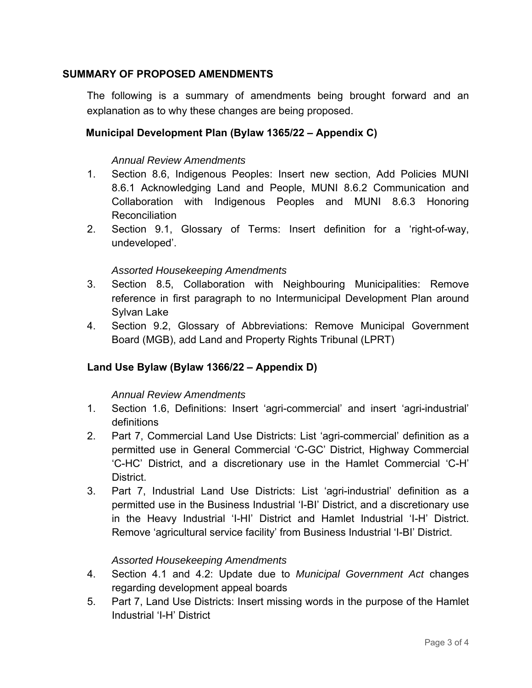# **SUMMARY OF PROPOSED AMENDMENTS**

The following is a summary of amendments being brought forward and an explanation as to why these changes are being proposed.

# **Municipal Development Plan (Bylaw 1365/22 – Appendix C)**

#### *Annual Review Amendments*

- 1. Section 8.6, Indigenous Peoples: Insert new section, Add Policies MUNI 8.6.1 Acknowledging Land and People, MUNI 8.6.2 Communication and Collaboration with Indigenous Peoples and MUNI 8.6.3 Honoring Reconciliation
- 2. Section 9.1, Glossary of Terms: Insert definition for a 'right-of-way, undeveloped'.

#### *Assorted Housekeeping Amendments*

- 3. Section 8.5, Collaboration with Neighbouring Municipalities: Remove reference in first paragraph to no Intermunicipal Development Plan around Sylvan Lake
- 4. Section 9.2, Glossary of Abbreviations: Remove Municipal Government Board (MGB), add Land and Property Rights Tribunal (LPRT)

## **Land Use Bylaw (Bylaw 1366/22 – Appendix D)**

#### *Annual Review Amendments*

- 1. Section 1.6, Definitions: Insert 'agri-commercial' and insert 'agri-industrial' definitions
- 2. Part 7, Commercial Land Use Districts: List 'agri-commercial' definition as a permitted use in General Commercial 'C-GC' District, Highway Commercial 'C-HC' District, and a discretionary use in the Hamlet Commercial 'C-H' **District**
- 3. Part 7, Industrial Land Use Districts: List 'agri-industrial' definition as a permitted use in the Business Industrial 'I-BI' District, and a discretionary use in the Heavy Industrial 'I-HI' District and Hamlet Industrial 'I-H' District. Remove 'agricultural service facility' from Business Industrial 'I-BI' District.

## *Assorted Housekeeping Amendments*

- 4. Section 4.1 and 4.2: Update due to *Municipal Government Act* changes regarding development appeal boards
- 5. Part 7, Land Use Districts: Insert missing words in the purpose of the Hamlet Industrial 'I-H' District